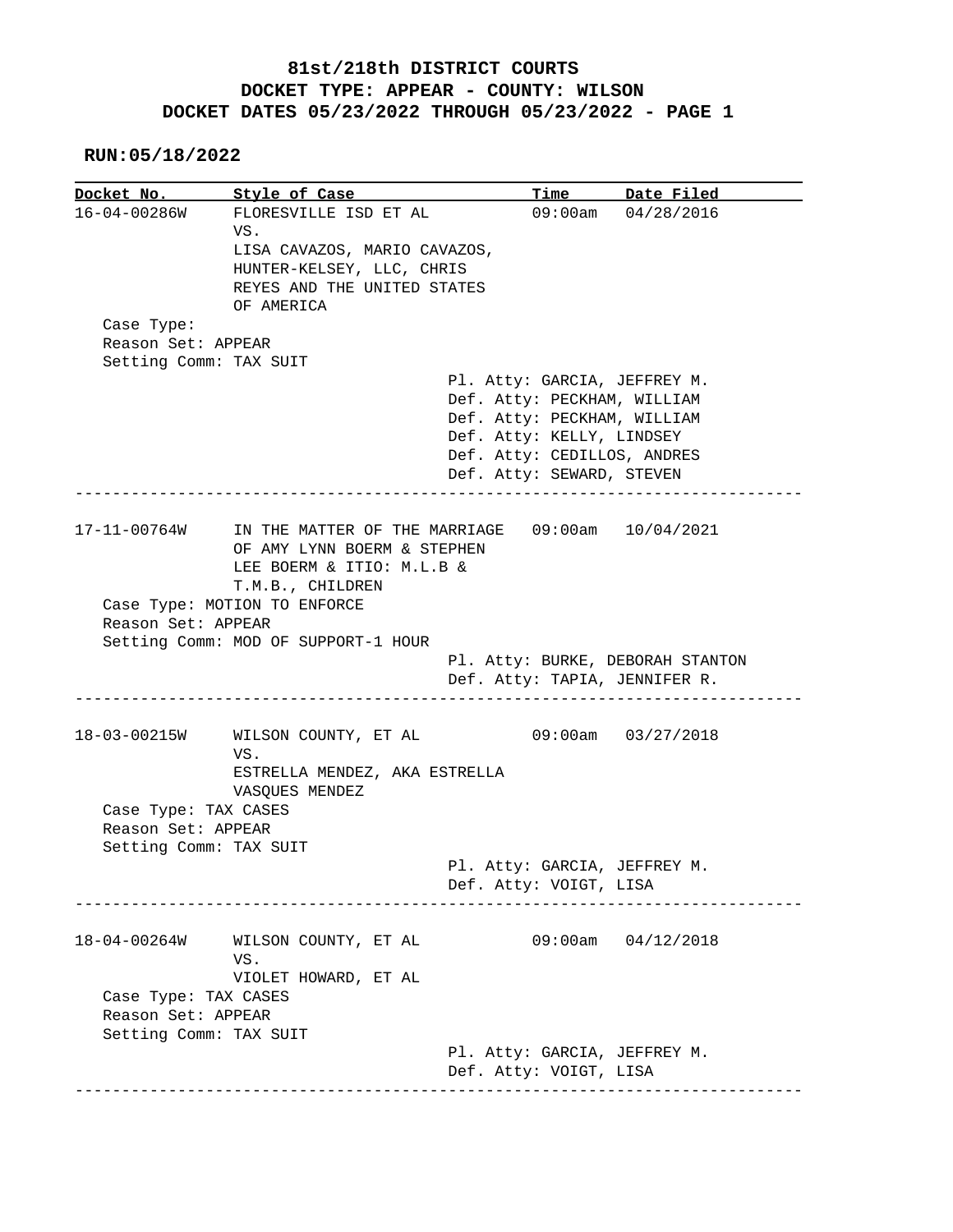**RUN:05/18/2022**

**Docket No.** Style of Case Time Date Filed 16-04-00286W FLORESVILLE ISD ET AL 09:00am 04/28/2016 VS. LISA CAVAZOS, MARIO CAVAZOS, HUNTER-KELSEY, LLC, CHRIS REYES AND THE UNITED STATES OF AMERICA Case Type: Reason Set: APPEAR Setting Comm: TAX SUIT Pl. Atty: GARCIA, JEFFREY M. Def. Atty: PECKHAM, WILLIAM Def. Atty: PECKHAM, WILLIAM Def. Atty: KELLY, LINDSEY Def. Atty: CEDILLOS, ANDRES Def. Atty: SEWARD, STEVEN ------------------------------------------------------------------------------ 17-11-00764W IN THE MATTER OF THE MARRIAGE 09:00am 10/04/2021 OF AMY LYNN BOERM & STEPHEN LEE BOERM & ITIO: M.L.B & T.M.B., CHILDREN Case Type: MOTION TO ENFORCE Reason Set: APPEAR Setting Comm: MOD OF SUPPORT-1 HOUR Pl. Atty: BURKE, DEBORAH STANTON Def. Atty: TAPIA, JENNIFER R. ------------------------------------------------------------------------------ 18-03-00215W WILSON COUNTY, ET AL 09:00am 03/27/2018 VS. ESTRELLA MENDEZ, AKA ESTRELLA VASQUES MENDEZ Case Type: TAX CASES Reason Set: APPEAR Setting Comm: TAX SUIT Pl. Atty: GARCIA, JEFFREY M. Def. Atty: VOIGT, LISA ------------------------------------------------------------------------------ 18-04-00264W WILSON COUNTY, ET AL 09:00am 04/12/2018 VS. VIOLET HOWARD, ET AL Case Type: TAX CASES Reason Set: APPEAR Setting Comm: TAX SUIT Pl. Atty: GARCIA, JEFFREY M. Def. Atty: VOIGT, LISA ------------------------------------------------------------------------------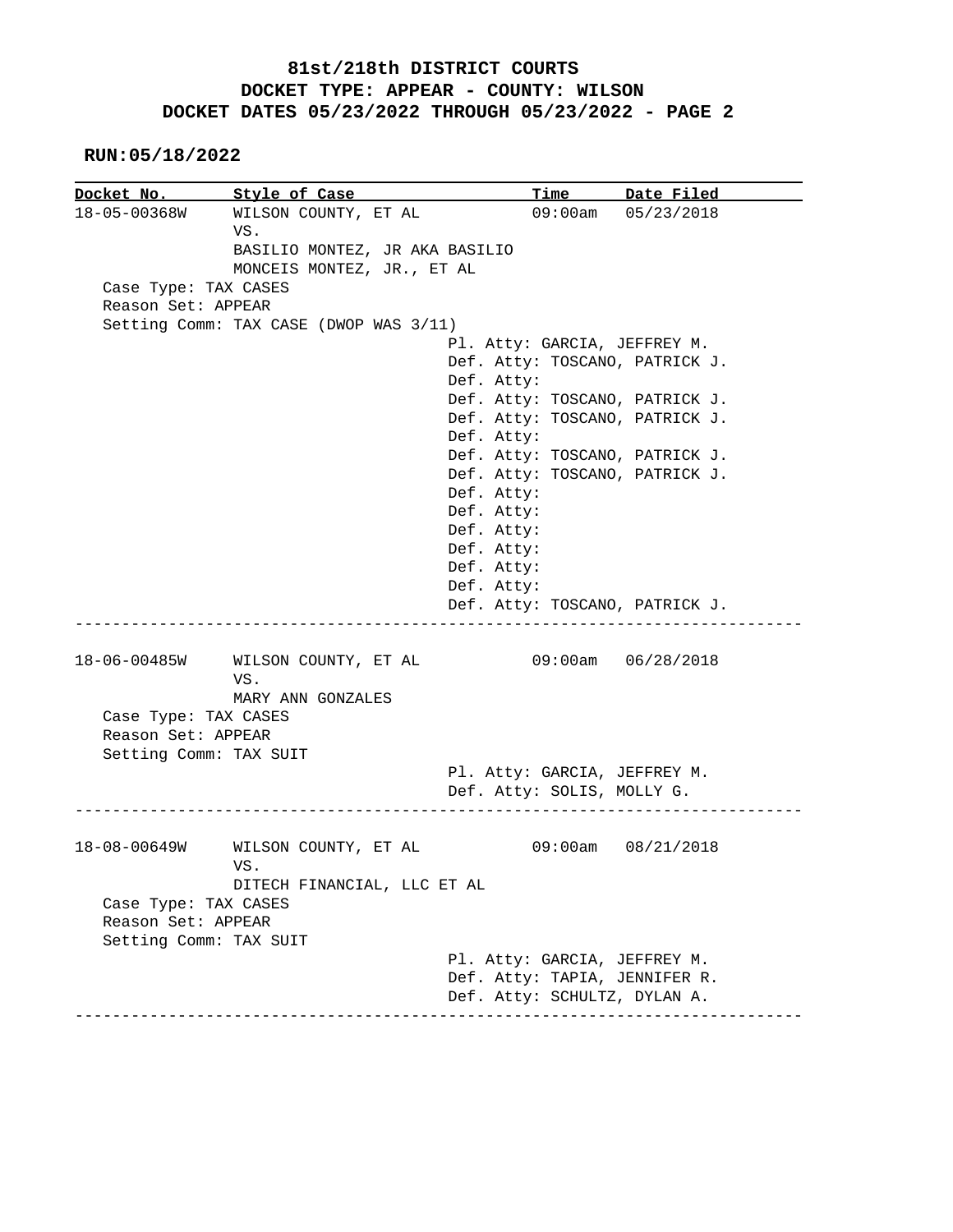|                        | Docket No. Style of Case                             |                                | Time Date Filed    |
|------------------------|------------------------------------------------------|--------------------------------|--------------------|
|                        | 18-05-00368W WILSON COUNTY, ET AL                    |                                | 09:00am 05/23/2018 |
|                        | VS.                                                  |                                |                    |
|                        | BASILIO MONTEZ, JR AKA BASILIO                       |                                |                    |
|                        | MONCEIS MONTEZ, JR., ET AL                           |                                |                    |
| Case Type: TAX CASES   |                                                      |                                |                    |
| Reason Set: APPEAR     |                                                      |                                |                    |
|                        | Setting Comm: TAX CASE (DWOP WAS 3/11)               |                                |                    |
|                        |                                                      | Pl. Atty: GARCIA, JEFFREY M.   |                    |
|                        |                                                      | Def. Atty: TOSCANO, PATRICK J. |                    |
|                        |                                                      | Def. Atty:                     |                    |
|                        |                                                      |                                |                    |
|                        |                                                      | Def. Atty: TOSCANO, PATRICK J. |                    |
|                        |                                                      | Def. Atty: TOSCANO, PATRICK J. |                    |
|                        |                                                      | Def. Atty:                     |                    |
|                        |                                                      | Def. Atty: TOSCANO, PATRICK J. |                    |
|                        |                                                      | Def. Atty: TOSCANO, PATRICK J. |                    |
|                        |                                                      | Def. Atty:                     |                    |
|                        |                                                      | Def. Atty:                     |                    |
|                        |                                                      | Def. Atty:                     |                    |
|                        |                                                      | Def. Atty:                     |                    |
|                        |                                                      | Def. Atty:                     |                    |
|                        |                                                      | Def. Atty:                     |                    |
|                        |                                                      | Def. Atty: TOSCANO, PATRICK J. |                    |
|                        | 18-06-00485W WILSON COUNTY, ET AL 09:00am 06/28/2018 |                                |                    |
|                        | VS.                                                  |                                |                    |
|                        | MARY ANN GONZALES                                    |                                |                    |
| Case Type: TAX CASES   |                                                      |                                |                    |
| Reason Set: APPEAR     |                                                      |                                |                    |
|                        |                                                      |                                |                    |
|                        | Setting Comm: TAX SUIT                               |                                |                    |
|                        |                                                      | Pl. Atty: GARCIA, JEFFREY M.   |                    |
|                        |                                                      | Def. Atty: SOLIS, MOLLY G.     |                    |
|                        |                                                      |                                |                    |
|                        |                                                      |                                |                    |
|                        | WILSON COUNTY, ET AL                                 |                                | 09:00am 08/21/2018 |
|                        | VS.                                                  |                                |                    |
|                        | DITECH FINANCIAL, LLC ET AL                          |                                |                    |
| Case Type: TAX CASES   |                                                      |                                |                    |
| Reason Set: APPEAR     |                                                      |                                |                    |
| Setting Comm: TAX SUIT |                                                      |                                |                    |
| 18-08-00649W           |                                                      | Pl. Atty: GARCIA, JEFFREY M.   |                    |
|                        |                                                      | Def. Atty: TAPIA, JENNIFER R.  |                    |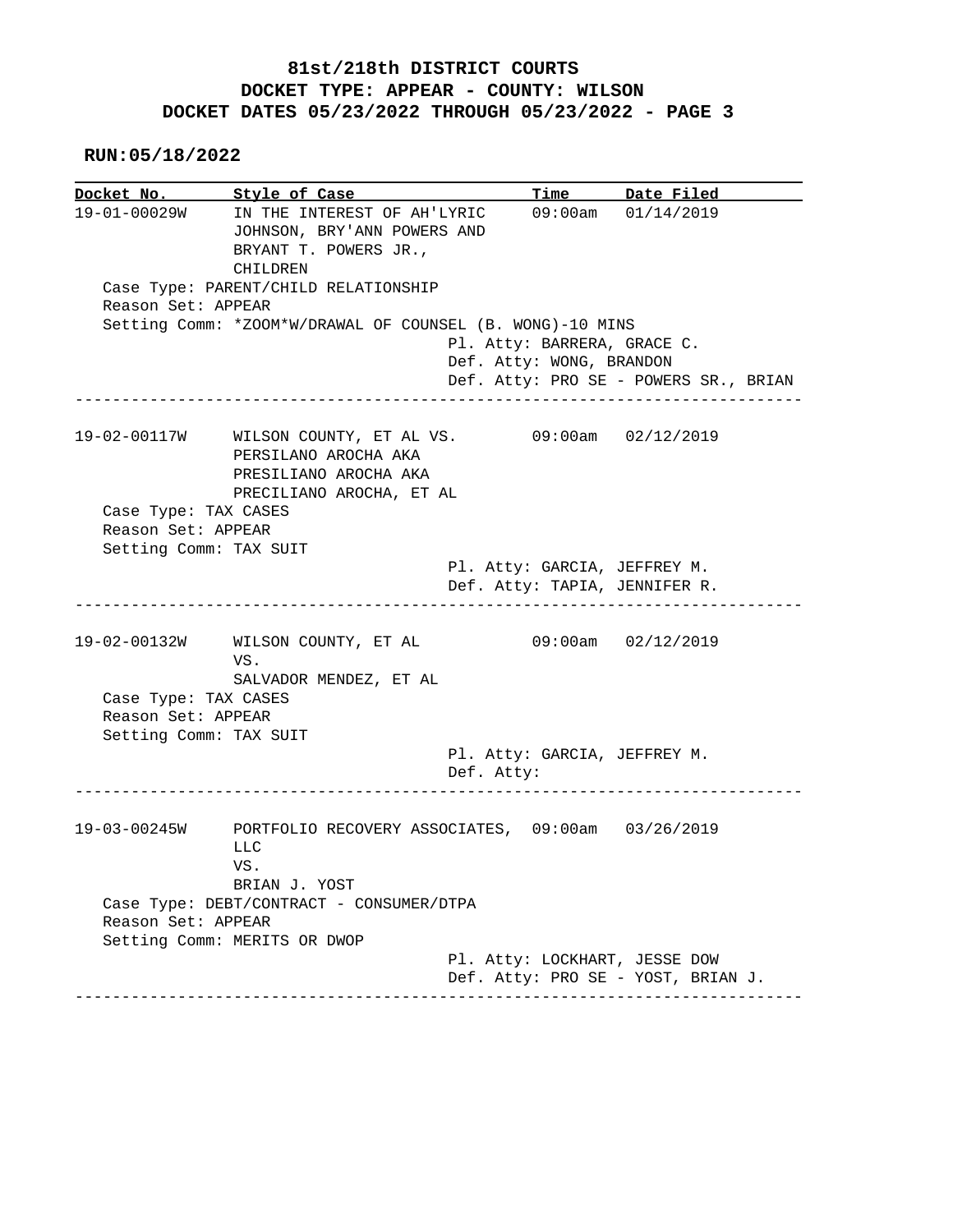|                        | Docket No. Style of Case                                                                                     |                                            | <u>Time Date Filed</u>                |
|------------------------|--------------------------------------------------------------------------------------------------------------|--------------------------------------------|---------------------------------------|
|                        | 19-01-00029W IN THE INTEREST OF AH'LYRIC<br>JOHNSON, BRY'ANN POWERS AND<br>BRYANT T. POWERS JR.,<br>CHILDREN |                                            | $09:00am$ $01/14/2019$                |
| Reason Set: APPEAR     | Case Type: PARENT/CHILD RELATIONSHIP                                                                         |                                            |                                       |
|                        | Setting Comm: *ZOOM*W/DRAWAL OF COUNSEL (B. WONG)-10 MINS                                                    |                                            |                                       |
|                        |                                                                                                              | Pl. Atty: BARRERA, GRACE C.                |                                       |
|                        |                                                                                                              | Def. Atty: WONG, BRANDON                   |                                       |
|                        |                                                                                                              |                                            | Def. Atty: PRO SE - POWERS SR., BRIAN |
|                        | 19-02-00117W WILSON COUNTY, ET AL VS.<br>PERSILANO AROCHA AKA<br>PRESILIANO AROCHA AKA                       |                                            | $09:00$ am $02/12/2019$               |
|                        | PRECILIANO AROCHA, ET AL                                                                                     |                                            |                                       |
| Case Type: TAX CASES   |                                                                                                              |                                            |                                       |
| Reason Set: APPEAR     |                                                                                                              |                                            |                                       |
| Setting Comm: TAX SUIT |                                                                                                              |                                            |                                       |
|                        |                                                                                                              | Pl. Atty: GARCIA, JEFFREY M.               |                                       |
|                        |                                                                                                              | Def. Atty: TAPIA, JENNIFER R.              |                                       |
|                        | 19-02-00132W WILSON COUNTY, ET AL<br>VS.                                                                     |                                            | $09:00am$ $02/12/2019$                |
| Case Type: TAX CASES   | SALVADOR MENDEZ, ET AL                                                                                       |                                            |                                       |
| Reason Set: APPEAR     |                                                                                                              |                                            |                                       |
| Setting Comm: TAX SUIT |                                                                                                              |                                            |                                       |
|                        |                                                                                                              | Pl. Atty: GARCIA, JEFFREY M.<br>Def. Atty: |                                       |
|                        | 19-03-00245W PORTFOLIO RECOVERY ASSOCIATES, 09:00am 03/26/2019                                               |                                            |                                       |
|                        | <b>LLC</b><br>VS.<br>BRIAN J. YOST                                                                           |                                            |                                       |
| Reason Set: APPEAR     | Case Type: DEBT/CONTRACT - CONSUMER/DTPA<br>Setting Comm: MERITS OR DWOP                                     |                                            |                                       |
|                        |                                                                                                              |                                            |                                       |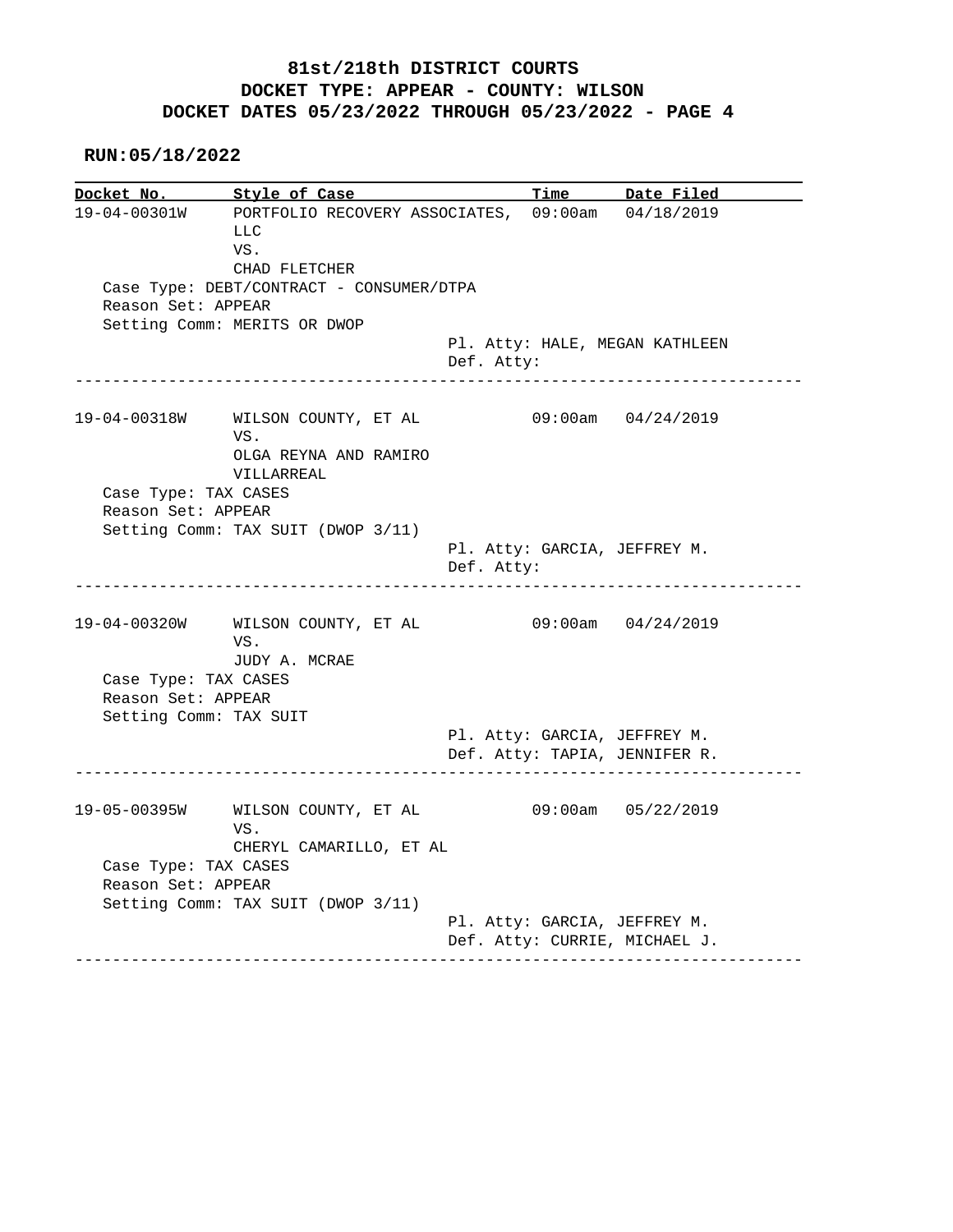**RUN:05/18/2022**

**Docket No. Style of Case Time Date Filed**  19-04-00301W PORTFOLIO RECOVERY ASSOCIATES, 09:00am 04/18/2019 LLC VS. CHAD FLETCHER Case Type: DEBT/CONTRACT - CONSUMER/DTPA Reason Set: APPEAR Setting Comm: MERITS OR DWOP Pl. Atty: HALE, MEGAN KATHLEEN Def. Atty: ------------------------------------------------------------------------------ 19-04-00318W WILSON COUNTY, ET AL 09:00am 04/24/2019 VS. OLGA REYNA AND RAMIRO VILLARREAL Case Type: TAX CASES Reason Set: APPEAR Setting Comm: TAX SUIT (DWOP 3/11) Pl. Atty: GARCIA, JEFFREY M. Def. Atty: ------------------------------------------------------------------------------ 19-04-00320W WILSON COUNTY, ET AL 09:00am 04/24/2019 VS. JUDY A. MCRAE Case Type: TAX CASES Reason Set: APPEAR Setting Comm: TAX SUIT Pl. Atty: GARCIA, JEFFREY M. Def. Atty: TAPIA, JENNIFER R. ------------------------------------------------------------------------------ 19-05-00395W WILSON COUNTY, ET AL 09:00am 05/22/2019 VS. CHERYL CAMARILLO, ET AL Case Type: TAX CASES Reason Set: APPEAR Setting Comm: TAX SUIT (DWOP 3/11) Pl. Atty: GARCIA, JEFFREY M. Def. Atty: CURRIE, MICHAEL J. ------------------------------------------------------------------------------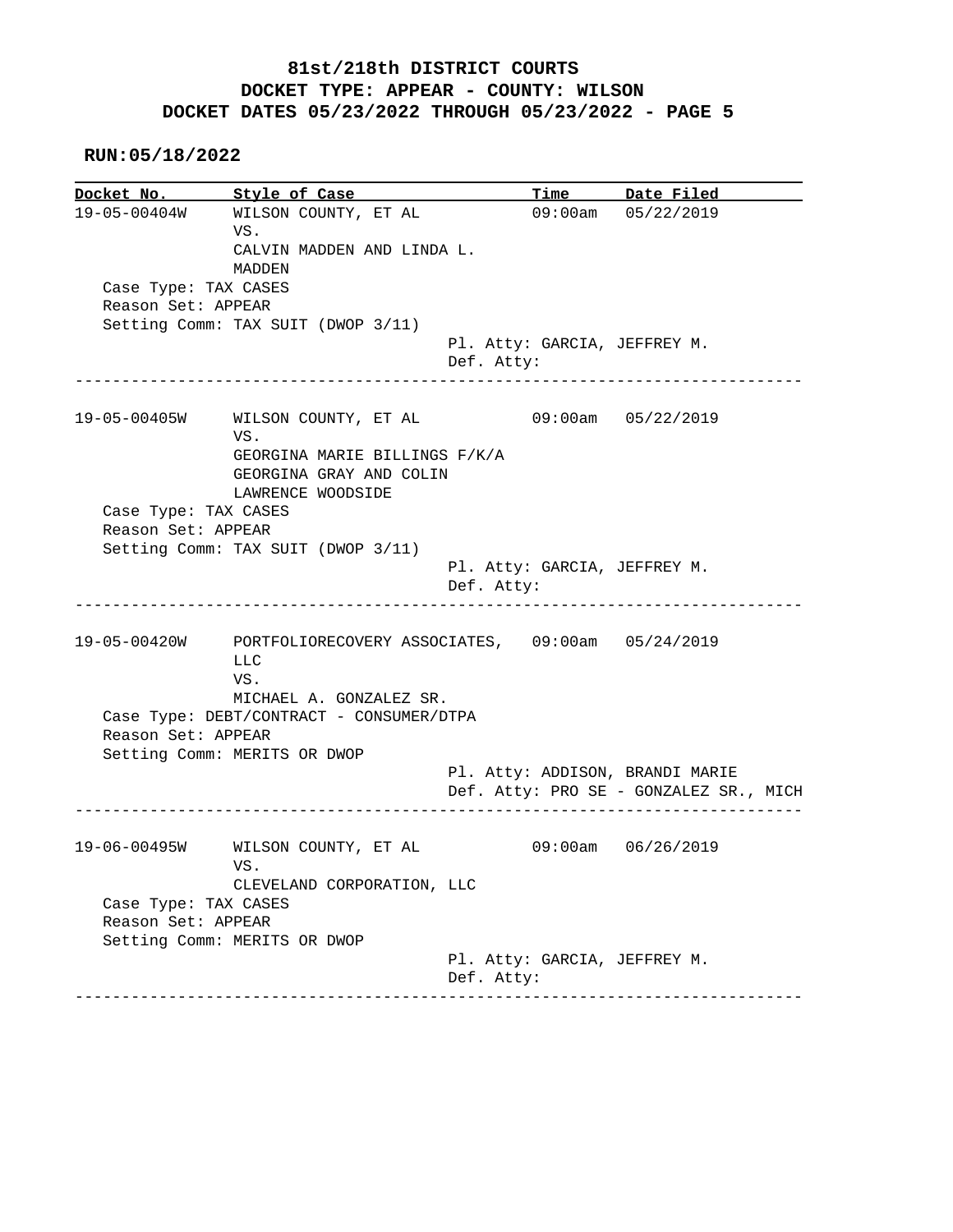**RUN:05/18/2022**

Docket No. Style of Case Docket No. Style of Case Time Date Filed<br>19-05-00404W WILSON COUNTY, ET AL 09:00am 05/22/2019 VS. CALVIN MADDEN AND LINDA L. MADDEN Case Type: TAX CASES Reason Set: APPEAR Setting Comm: TAX SUIT (DWOP 3/11) Pl. Atty: GARCIA, JEFFREY M. Def. Atty: ------------------------------------------------------------------------------ 19-05-00405W WILSON COUNTY, ET AL 09:00am 05/22/2019 VS. GEORGINA MARIE BILLINGS F/K/A GEORGINA GRAY AND COLIN LAWRENCE WOODSIDE Case Type: TAX CASES Reason Set: APPEAR Setting Comm: TAX SUIT (DWOP 3/11) Pl. Atty: GARCIA, JEFFREY M. Def. Atty: ------------------------------------------------------------------------------ 19-05-00420W PORTFOLIORECOVERY ASSOCIATES, 09:00am 05/24/2019 LLC VS. MICHAEL A. GONZALEZ SR. Case Type: DEBT/CONTRACT - CONSUMER/DTPA Reason Set: APPEAR Setting Comm: MERITS OR DWOP Pl. Atty: ADDISON, BRANDI MARIE Def. Atty: PRO SE - GONZALEZ SR., MICH ------------------------------------------------------------------------------ 19-06-00495W WILSON COUNTY, ET AL 09:00am 06/26/2019 VS. CLEVELAND CORPORATION, LLC Case Type: TAX CASES Reason Set: APPEAR Setting Comm: MERITS OR DWOP Pl. Atty: GARCIA, JEFFREY M. Def. Atty: ------------------------------------------------------------------------------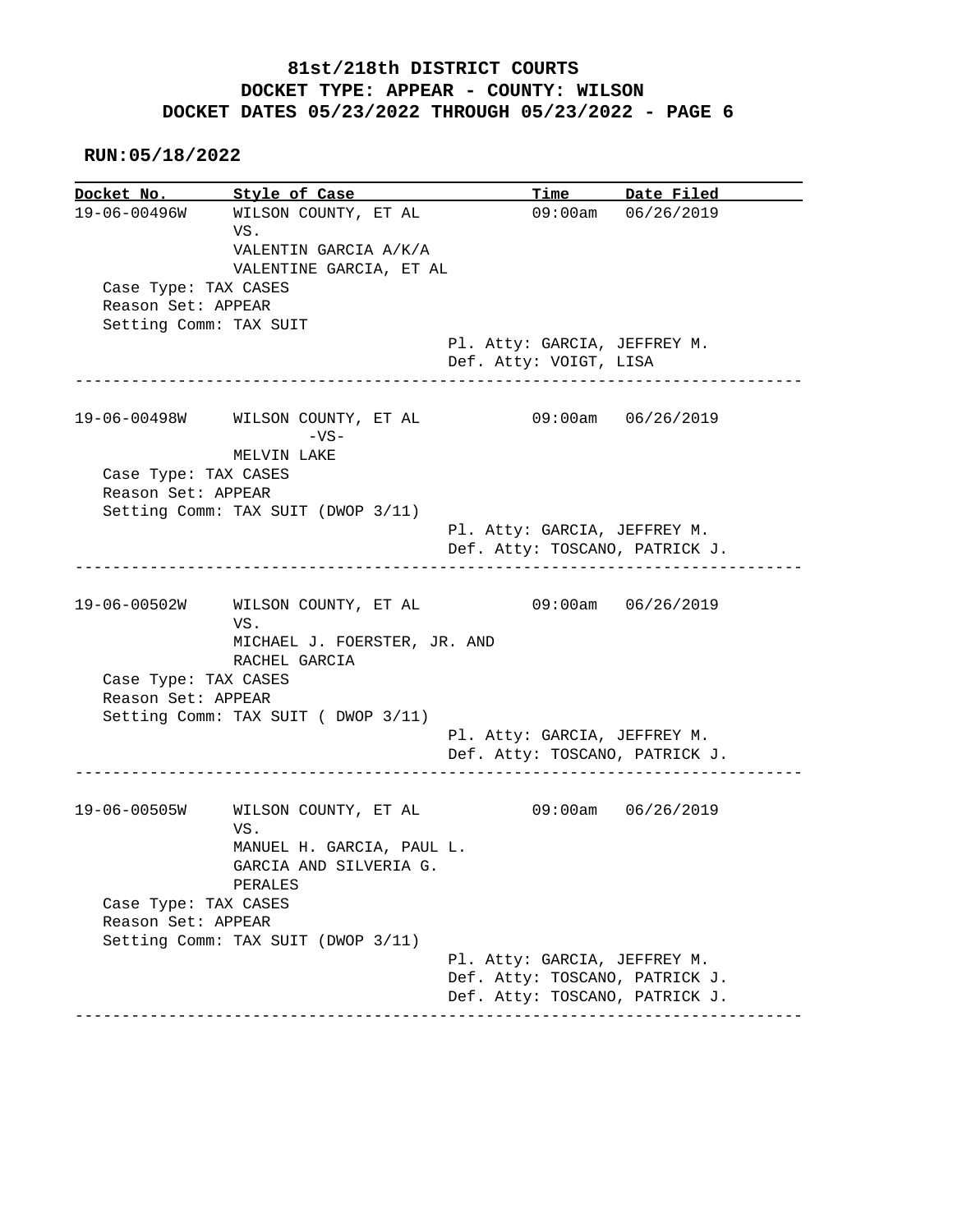**RUN:05/18/2022**

**Docket No.** Style of Case Docket No. Style of Case Time Date Filed<br>19-06-00496W WILSON COUNTY, ET AL 09:00am 06/26/2019 VS. VALENTIN GARCIA A/K/A VALENTINE GARCIA, ET AL Case Type: TAX CASES Reason Set: APPEAR Setting Comm: TAX SUIT Pl. Atty: GARCIA, JEFFREY M. Def. Atty: VOIGT, LISA ------------------------------------------------------------------------------ 19-06-00498W WILSON COUNTY, ET AL 09:00am 06/26/2019  $-VS-$  MELVIN LAKE Case Type: TAX CASES Reason Set: APPEAR Setting Comm: TAX SUIT (DWOP 3/11) Pl. Atty: GARCIA, JEFFREY M. Def. Atty: TOSCANO, PATRICK J. ------------------------------------------------------------------------------ 19-06-00502W WILSON COUNTY, ET AL 09:00am 06/26/2019 VS. MICHAEL J. FOERSTER, JR. AND RACHEL GARCIA Case Type: TAX CASES Reason Set: APPEAR Setting Comm: TAX SUIT ( DWOP 3/11) Pl. Atty: GARCIA, JEFFREY M. Def. Atty: TOSCANO, PATRICK J. ------------------------------------------------------------------------------ 19-06-00505W WILSON COUNTY, ET AL 09:00am 06/26/2019 VS. MANUEL H. GARCIA, PAUL L. GARCIA AND SILVERIA G. PERALES Case Type: TAX CASES Reason Set: APPEAR Setting Comm: TAX SUIT (DWOP 3/11) Pl. Atty: GARCIA, JEFFREY M. Def. Atty: TOSCANO, PATRICK J. Def. Atty: TOSCANO, PATRICK J. ------------------------------------------------------------------------------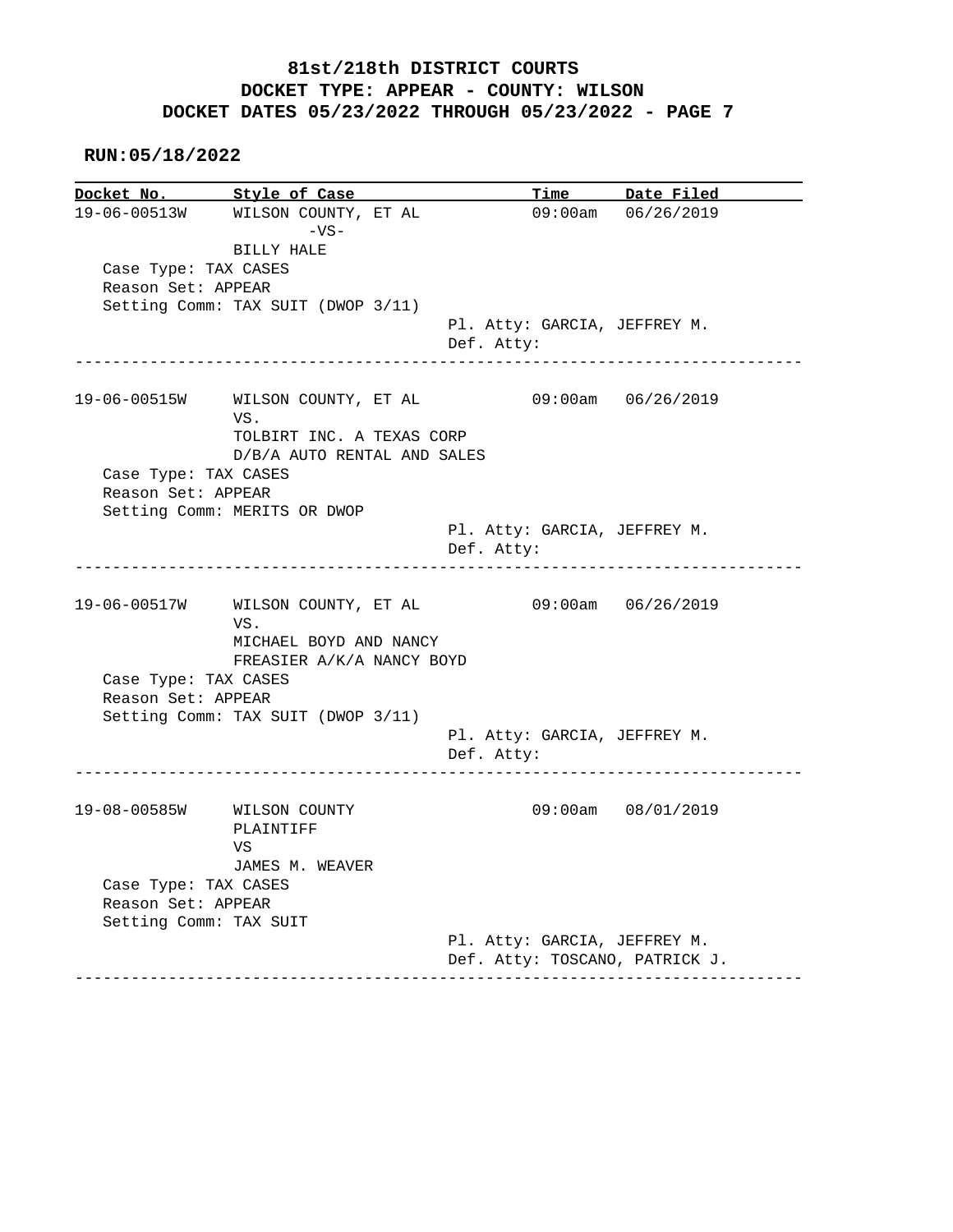**RUN:05/18/2022**

Docket No. Style of Case Docket No. Style of Case Time Date Filed<br>19-06-00513W WILSON COUNTY, ET AL 09:00am 06/26/2019  $-VS-$  BILLY HALE Case Type: TAX CASES Reason Set: APPEAR Setting Comm: TAX SUIT (DWOP 3/11) Pl. Atty: GARCIA, JEFFREY M. Def. Atty: ------------------------------------------------------------------------------ 19-06-00515W WILSON COUNTY, ET AL 09:00am 06/26/2019 VS. TOLBIRT INC. A TEXAS CORP D/B/A AUTO RENTAL AND SALES Case Type: TAX CASES Reason Set: APPEAR Setting Comm: MERITS OR DWOP Pl. Atty: GARCIA, JEFFREY M. Def. Atty: ------------------------------------------------------------------------------ 19-06-00517W WILSON COUNTY, ET AL 09:00am 06/26/2019 VS. MICHAEL BOYD AND NANCY FREASIER A/K/A NANCY BOYD Case Type: TAX CASES Reason Set: APPEAR Setting Comm: TAX SUIT (DWOP 3/11) Pl. Atty: GARCIA, JEFFREY M. Def. Atty: ------------------------------------------------------------------------------ 19-08-00585W WILSON COUNTY 09:00am 08/01/2019 PLAINTIFF VS JAMES M. WEAVER Case Type: TAX CASES Reason Set: APPEAR Setting Comm: TAX SUIT Pl. Atty: GARCIA, JEFFREY M. Def. Atty: TOSCANO, PATRICK J. ------------------------------------------------------------------------------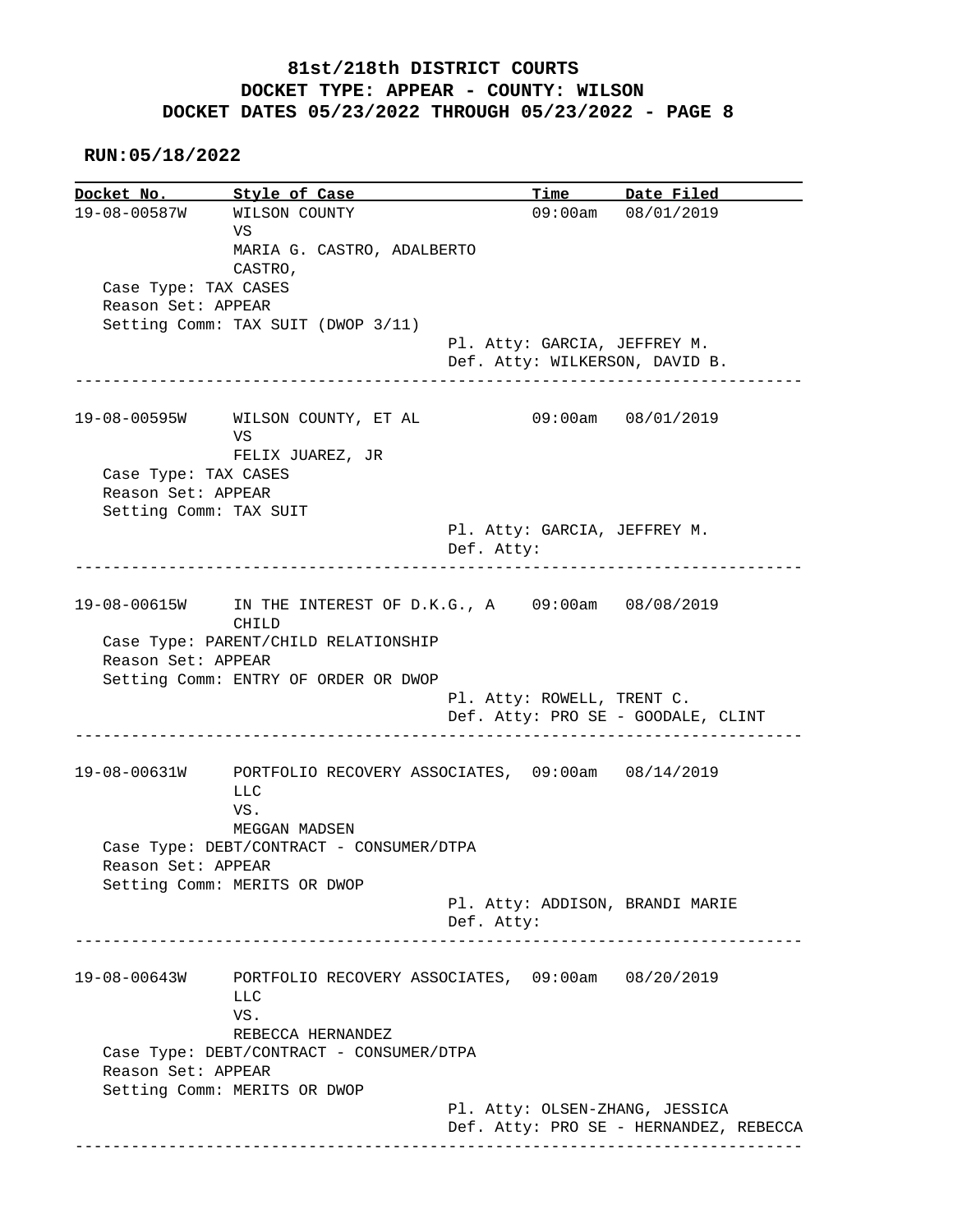#### **RUN:05/18/2022**

**Docket No. Style of Case Time Date Filed**  19-08-00587W WILSON COUNTY 09:00am 08/01/2019 **VS** The Second Second Second Second Second Second Second Second Second Second Second Second Second Second Second Second Second Second Second Second Second Second Second Second Second Second Second Second Second Second Sec MARIA G. CASTRO, ADALBERTO CASTRO, Case Type: TAX CASES Reason Set: APPEAR Setting Comm: TAX SUIT (DWOP 3/11) Pl. Atty: GARCIA, JEFFREY M. Def. Atty: WILKERSON, DAVID B. ------------------------------------------------------------------------------ 19-08-00595W WILSON COUNTY, ET AL 09:00am 08/01/2019 **VS** The Second Second Second Second Second Second Second Second Second Second Second Second Second Second Second Second Second Second Second Second Second Second Second Second Second Second Second Second Second Second Sec FELIX JUAREZ, JR Case Type: TAX CASES Reason Set: APPEAR Setting Comm: TAX SUIT Pl. Atty: GARCIA, JEFFREY M. Def. Atty: ------------------------------------------------------------------------------ 19-08-00615W IN THE INTEREST OF D.K.G., A 09:00am 08/08/2019 CHILD Case Type: PARENT/CHILD RELATIONSHIP Reason Set: APPEAR Setting Comm: ENTRY OF ORDER OR DWOP Pl. Atty: ROWELL, TRENT C. Def. Atty: PRO SE - GOODALE, CLINT ------------------------------------------------------------------------------ 19-08-00631W PORTFOLIO RECOVERY ASSOCIATES, 09:00am 08/14/2019 LLC VS. MEGGAN MADSEN Case Type: DEBT/CONTRACT - CONSUMER/DTPA Reason Set: APPEAR Setting Comm: MERITS OR DWOP Pl. Atty: ADDISON, BRANDI MARIE Def. Atty: ------------------------------------------------------------------------------ 19-08-00643W PORTFOLIO RECOVERY ASSOCIATES, 09:00am 08/20/2019 LLC VS. REBECCA HERNANDEZ Case Type: DEBT/CONTRACT - CONSUMER/DTPA Reason Set: APPEAR Setting Comm: MERITS OR DWOP Pl. Atty: OLSEN-ZHANG, JESSICA Def. Atty: PRO SE - HERNANDEZ, REBECCA ------------------------------------------------------------------------------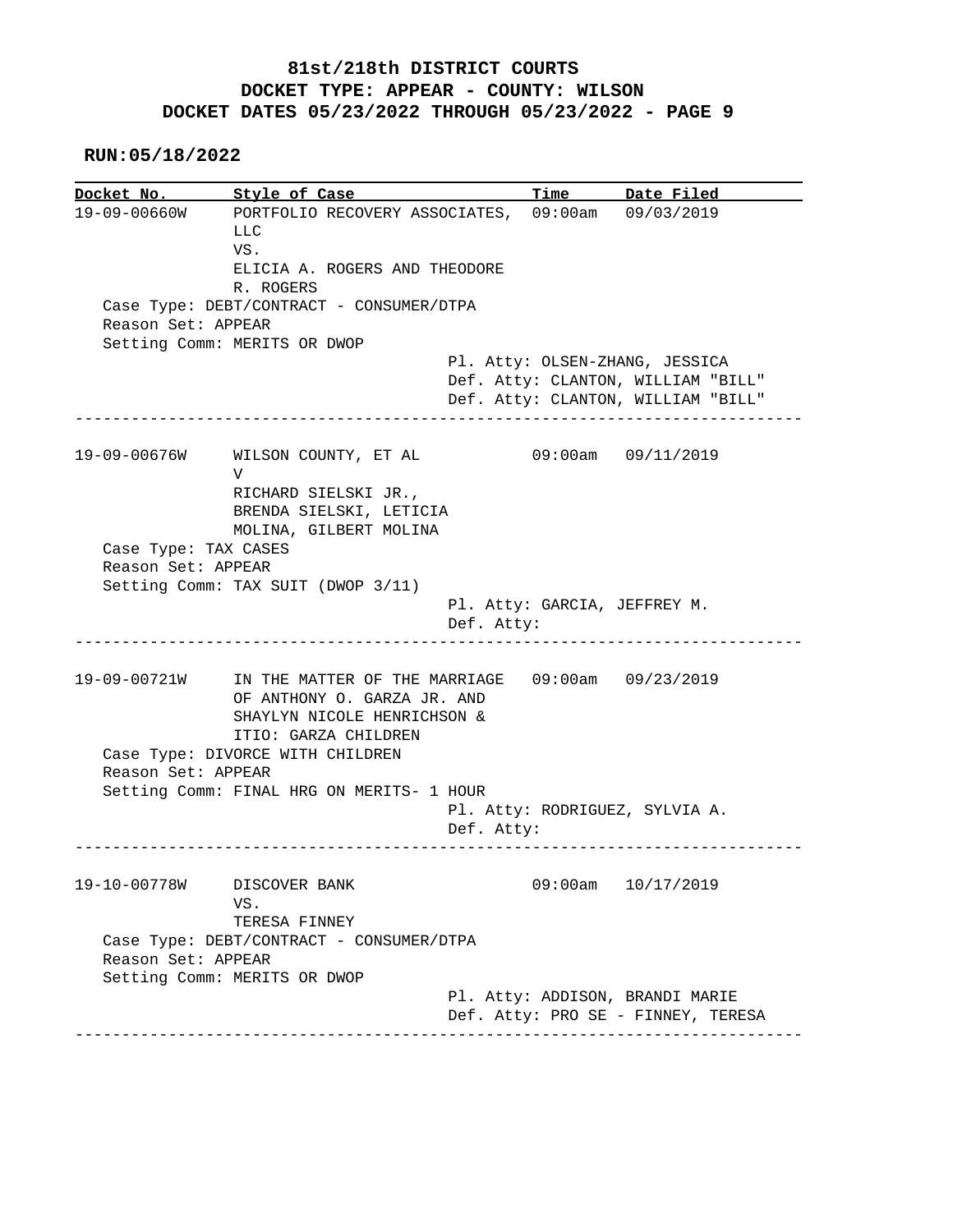**RUN:05/18/2022**

**Docket No. Style of Case Time Date Filed**  19-09-00660W PORTFOLIO RECOVERY ASSOCIATES, 09:00am 09/03/2019 LLC VS. ELICIA A. ROGERS AND THEODORE R. ROGERS Case Type: DEBT/CONTRACT - CONSUMER/DTPA Reason Set: APPEAR Setting Comm: MERITS OR DWOP Pl. Atty: OLSEN-ZHANG, JESSICA Def. Atty: CLANTON, WILLIAM "BILL" Def. Atty: CLANTON, WILLIAM "BILL" ------------------------------------------------------------------------------ 19-09-00676W WILSON COUNTY, ET AL 09:00am 09/11/2019 V RICHARD SIELSKI JR., BRENDA SIELSKI, LETICIA MOLINA, GILBERT MOLINA Case Type: TAX CASES Reason Set: APPEAR Setting Comm: TAX SUIT (DWOP 3/11) Pl. Atty: GARCIA, JEFFREY M. Def. Atty: ------------------------------------------------------------------------------ 19-09-00721W IN THE MATTER OF THE MARRIAGE 09:00am 09/23/2019 OF ANTHONY O. GARZA JR. AND SHAYLYN NICOLE HENRICHSON & ITIO: GARZA CHILDREN Case Type: DIVORCE WITH CHILDREN Reason Set: APPEAR Setting Comm: FINAL HRG ON MERITS- 1 HOUR Pl. Atty: RODRIGUEZ, SYLVIA A. Def. Atty: ------------------------------------------------------------------------------ 19-10-00778W DISCOVER BANK 09:00am 10/17/2019 VS. TERESA FINNEY Case Type: DEBT/CONTRACT - CONSUMER/DTPA Reason Set: APPEAR Setting Comm: MERITS OR DWOP Pl. Atty: ADDISON, BRANDI MARIE Def. Atty: PRO SE - FINNEY, TERESA ------------------------------------------------------------------------------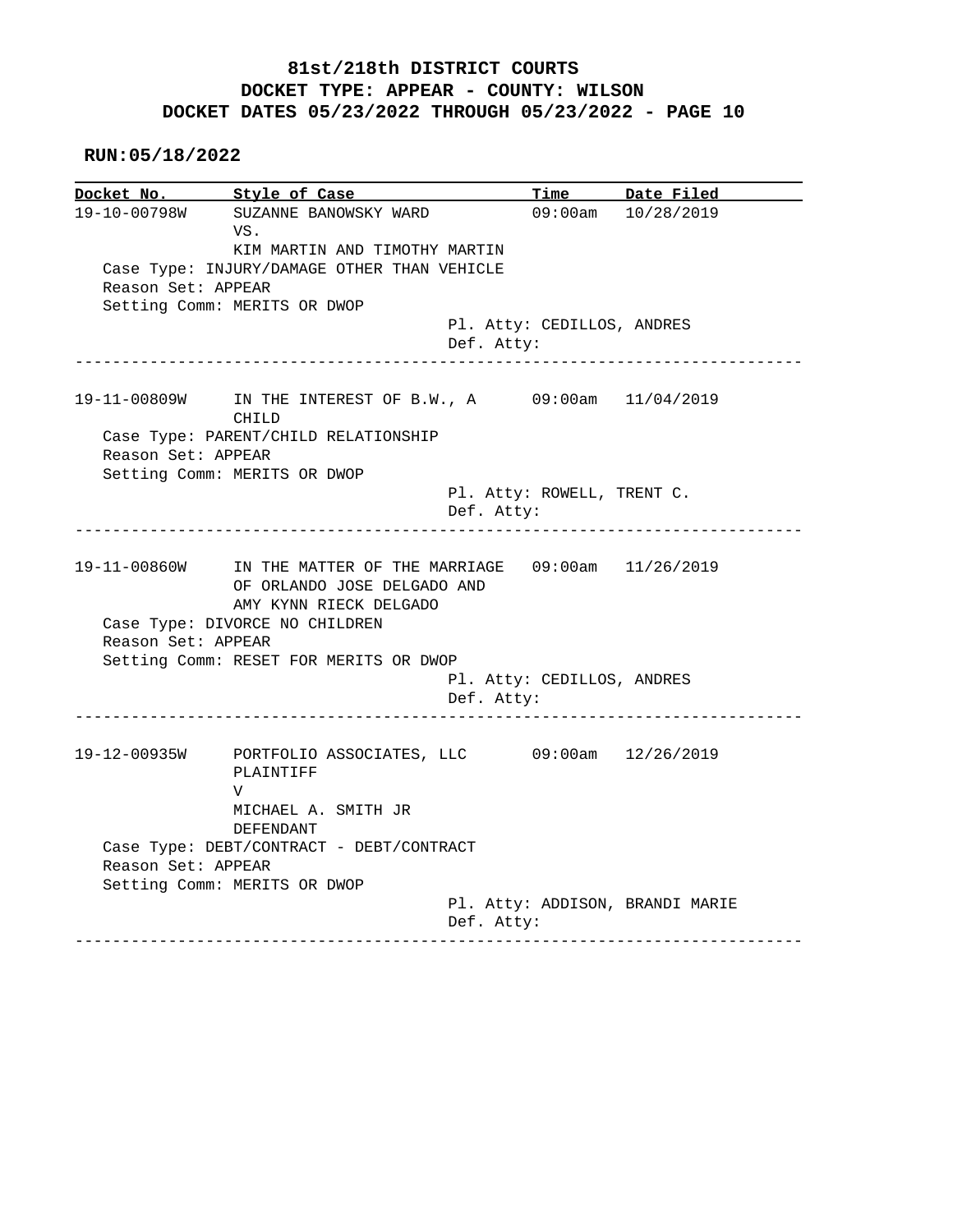|                    | Docket No. 5tyle of Case                                               |            |                            | Time Date Filed                 |
|--------------------|------------------------------------------------------------------------|------------|----------------------------|---------------------------------|
| 19-10-00798W       | SUZANNE BANOWSKY WARD                                                  |            |                            | 09:00am 10/28/2019              |
|                    | VS.                                                                    |            |                            |                                 |
|                    | KIM MARTIN AND TIMOTHY MARTIN                                          |            |                            |                                 |
|                    | Case Type: INJURY/DAMAGE OTHER THAN VEHICLE                            |            |                            |                                 |
| Reason Set: APPEAR |                                                                        |            |                            |                                 |
|                    | Setting Comm: MERITS OR DWOP                                           |            |                            |                                 |
|                    |                                                                        |            | Pl. Atty: CEDILLOS, ANDRES |                                 |
|                    |                                                                        | Def. Atty: |                            |                                 |
|                    | ___________________________                                            |            |                            |                                 |
|                    | 19-11-00809W IN THE INTEREST OF B.W., A 09:00am 11/04/2019             |            |                            |                                 |
|                    | CHILD                                                                  |            |                            |                                 |
|                    | Case Type: PARENT/CHILD RELATIONSHIP                                   |            |                            |                                 |
| Reason Set: APPEAR |                                                                        |            |                            |                                 |
|                    | Setting Comm: MERITS OR DWOP                                           |            |                            |                                 |
|                    |                                                                        |            | Pl. Atty: ROWELL, TRENT C. |                                 |
|                    |                                                                        | Def. Atty: |                            |                                 |
|                    |                                                                        |            |                            |                                 |
|                    |                                                                        |            |                            |                                 |
|                    |                                                                        |            |                            |                                 |
|                    | 19-11-00860W IN THE MATTER OF THE MARRIAGE 09:00am 11/26/2019          |            |                            |                                 |
|                    | OF ORLANDO JOSE DELGADO AND                                            |            |                            |                                 |
|                    | AMY KYNN RIECK DELGADO                                                 |            |                            |                                 |
|                    | Case Type: DIVORCE NO CHILDREN                                         |            |                            |                                 |
| Reason Set: APPEAR |                                                                        |            |                            |                                 |
|                    | Setting Comm: RESET FOR MERITS OR DWOP                                 |            |                            |                                 |
|                    |                                                                        |            | Pl. Atty: CEDILLOS, ANDRES |                                 |
|                    |                                                                        | Def. Atty: |                            |                                 |
|                    |                                                                        |            |                            |                                 |
|                    | 19-12-00935W PORTFOLIO ASSOCIATES, LLC 09:00am 12/26/2019<br>PLAINTIFF |            |                            |                                 |
|                    | V                                                                      |            |                            |                                 |
|                    |                                                                        |            |                            |                                 |
|                    | MICHAEL A. SMITH JR                                                    |            |                            |                                 |
|                    | DEFENDANT                                                              |            |                            |                                 |
|                    | Case Type: DEBT/CONTRACT - DEBT/CONTRACT                               |            |                            |                                 |
| Reason Set: APPEAR |                                                                        |            |                            |                                 |
|                    | Setting Comm: MERITS OR DWOP                                           |            |                            |                                 |
|                    |                                                                        | Def. Atty: |                            | Pl. Atty: ADDISON, BRANDI MARIE |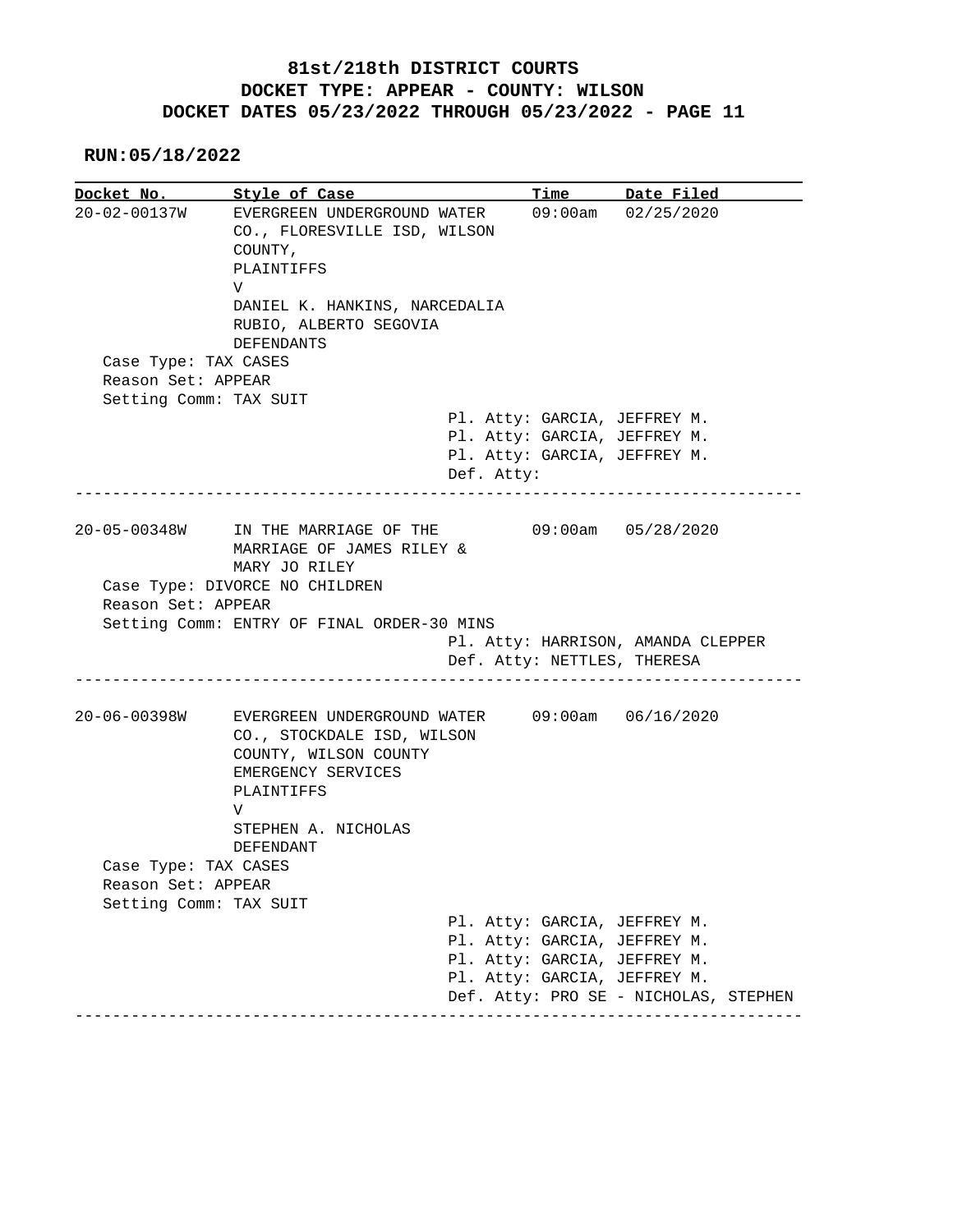| Docket No.                                   | Style of Case                                                                                                                                        | <b>Time</b>                  | Date Filed                            |
|----------------------------------------------|------------------------------------------------------------------------------------------------------------------------------------------------------|------------------------------|---------------------------------------|
| $20 - 02 - 00137W$                           | EVERGREEN UNDERGROUND WATER<br>CO., FLORESVILLE ISD, WILSON<br>COUNTY,<br>PLAINTIFFS<br>V<br>DANIEL K. HANKINS, NARCEDALIA<br>RUBIO, ALBERTO SEGOVIA | $09:00$ am                   | 02/25/2020                            |
|                                              | <b>DEFENDANTS</b>                                                                                                                                    |                              |                                       |
| Case Type: TAX CASES                         |                                                                                                                                                      |                              |                                       |
| Reason Set: APPEAR                           |                                                                                                                                                      |                              |                                       |
| Setting Comm: TAX SUIT                       |                                                                                                                                                      |                              |                                       |
|                                              |                                                                                                                                                      | Pl. Atty: GARCIA, JEFFREY M. |                                       |
|                                              |                                                                                                                                                      | Pl. Atty: GARCIA, JEFFREY M. |                                       |
|                                              |                                                                                                                                                      | Pl. Atty: GARCIA, JEFFREY M. |                                       |
|                                              |                                                                                                                                                      | Def. Atty:                   |                                       |
|                                              |                                                                                                                                                      |                              |                                       |
| 20-05-00348W                                 | IN THE MARRIAGE OF THE<br>MARRIAGE OF JAMES RILEY &                                                                                                  |                              | $09:00am$ $05/28/2020$                |
|                                              |                                                                                                                                                      |                              |                                       |
|                                              | MARY JO RILEY                                                                                                                                        |                              |                                       |
|                                              | Case Type: DIVORCE NO CHILDREN                                                                                                                       |                              |                                       |
| Reason Set: APPEAR                           |                                                                                                                                                      |                              |                                       |
|                                              | Setting Comm: ENTRY OF FINAL ORDER-30 MINS                                                                                                           |                              |                                       |
|                                              |                                                                                                                                                      |                              | Pl. Atty: HARRISON, AMANDA CLEPPER    |
|                                              |                                                                                                                                                      | Def. Atty: NETTLES, THERESA  |                                       |
|                                              |                                                                                                                                                      |                              |                                       |
| $20 - 06 - 00398W$                           | EVERGREEN UNDERGROUND WATER<br>CO., STOCKDALE ISD, WILSON<br>COUNTY, WILSON COUNTY<br>EMERGENCY SERVICES<br>PLAINTIFFS                               |                              | 09:00am 06/16/2020                    |
|                                              | V                                                                                                                                                    |                              |                                       |
|                                              | STEPHEN A. NICHOLAS                                                                                                                                  |                              |                                       |
|                                              | DEFENDANT                                                                                                                                            |                              |                                       |
| Case Type: TAX CASES                         |                                                                                                                                                      |                              |                                       |
| Reason Set: APPEAR<br>Setting Comm: TAX SUIT |                                                                                                                                                      |                              |                                       |
|                                              |                                                                                                                                                      | Pl. Atty: GARCIA, JEFFREY M. |                                       |
|                                              |                                                                                                                                                      | Pl. Atty: GARCIA, JEFFREY M. |                                       |
|                                              |                                                                                                                                                      | Pl. Atty: GARCIA, JEFFREY M. |                                       |
|                                              |                                                                                                                                                      | Pl. Atty: GARCIA, JEFFREY M. | Def. Atty: PRO SE - NICHOLAS, STEPHEN |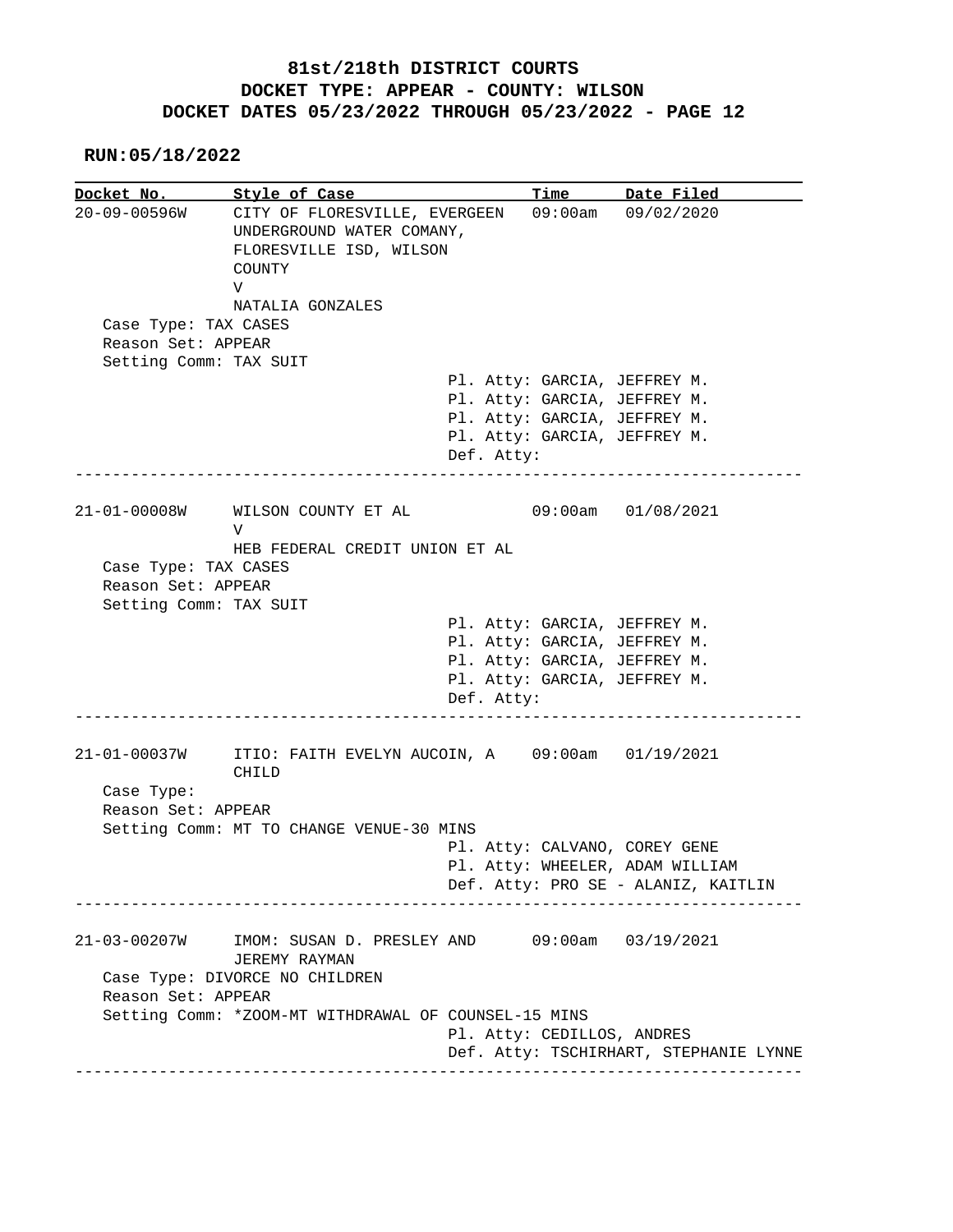#### **RUN:05/18/2022**

**Docket No. Style of Case Time Date Filed**  20-09-00596W CITY OF FLORESVILLE, EVERGEEN 09:00am 09/02/2020 UNDERGROUND WATER COMANY, FLORESVILLE ISD, WILSON COUNTY V NATALIA GONZALES Case Type: TAX CASES Reason Set: APPEAR Setting Comm: TAX SUIT Pl. Atty: GARCIA, JEFFREY M. Pl. Atty: GARCIA, JEFFREY M. Pl. Atty: GARCIA, JEFFREY M. Pl. Atty: GARCIA, JEFFREY M. Def. Atty: ------------------------------------------------------------------------------ 21-01-00008W WILSON COUNTY ET AL 09:00am 01/08/2021 V HEB FEDERAL CREDIT UNION ET AL Case Type: TAX CASES Reason Set: APPEAR Setting Comm: TAX SUIT Pl. Atty: GARCIA, JEFFREY M. Pl. Atty: GARCIA, JEFFREY M. Pl. Atty: GARCIA, JEFFREY M. Pl. Atty: GARCIA, JEFFREY M. Def. Atty: ------------------------------------------------------------------------------ 21-01-00037W ITIO: FAITH EVELYN AUCOIN, A 09:00am 01/19/2021 CHILD Case Type: Reason Set: APPEAR Setting Comm: MT TO CHANGE VENUE-30 MINS Pl. Atty: CALVANO, COREY GENE Pl. Atty: WHEELER, ADAM WILLIAM Def. Atty: PRO SE - ALANIZ, KAITLIN ------------------------------------------------------------------------------ 21-03-00207W IMOM: SUSAN D. PRESLEY AND 09:00am 03/19/2021 JEREMY RAYMAN Case Type: DIVORCE NO CHILDREN Reason Set: APPEAR Setting Comm: \*ZOOM-MT WITHDRAWAL OF COUNSEL-15 MINS Pl. Atty: CEDILLOS, ANDRES Def. Atty: TSCHIRHART, STEPHANIE LYNNE ------------------------------------------------------------------------------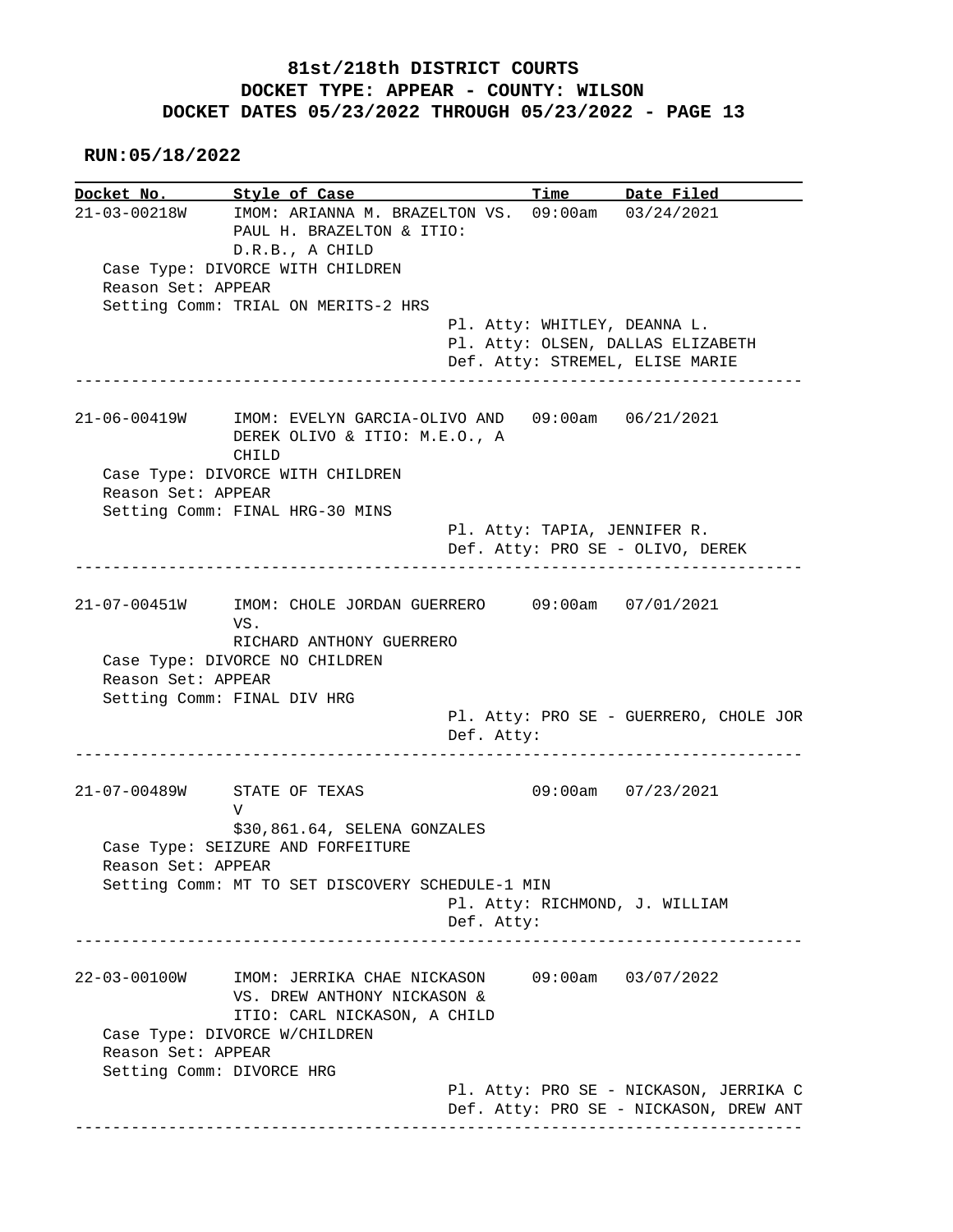**RUN:05/18/2022**

**Docket No. Style of Case Time Date Filed**  21-03-00218W IMOM: ARIANNA M. BRAZELTON VS. 09:00am 03/24/2021 PAUL H. BRAZELTON & ITIO: D.R.B., A CHILD Case Type: DIVORCE WITH CHILDREN Reason Set: APPEAR Setting Comm: TRIAL ON MERITS-2 HRS Pl. Atty: WHITLEY, DEANNA L. Pl. Atty: OLSEN, DALLAS ELIZABETH Def. Atty: STREMEL, ELISE MARIE ------------------------------------------------------------------------------ 21-06-00419W IMOM: EVELYN GARCIA-OLIVO AND 09:00am 06/21/2021 DEREK OLIVO & ITIO: M.E.O., A CHILD Case Type: DIVORCE WITH CHILDREN Reason Set: APPEAR Setting Comm: FINAL HRG-30 MINS Pl. Atty: TAPIA, JENNIFER R. Def. Atty: PRO SE - OLIVO, DEREK ------------------------------------------------------------------------------ 21-07-00451W IMOM: CHOLE JORDAN GUERRERO 09:00am 07/01/2021 VS. RICHARD ANTHONY GUERRERO Case Type: DIVORCE NO CHILDREN Reason Set: APPEAR Setting Comm: FINAL DIV HRG Pl. Atty: PRO SE - GUERRERO, CHOLE JOR Def. Atty: ------------------------------------------------------------------------------ 21-07-00489W STATE OF TEXAS 09:00am 07/23/2021 V \$30,861.64, SELENA GONZALES Case Type: SEIZURE AND FORFEITURE Reason Set: APPEAR Setting Comm: MT TO SET DISCOVERY SCHEDULE-1 MIN Pl. Atty: RICHMOND, J. WILLIAM Def. Atty: ------------------------------------------------------------------------------ 22-03-00100W IMOM: JERRIKA CHAE NICKASON 09:00am 03/07/2022 VS. DREW ANTHONY NICKASON & ITIO: CARL NICKASON, A CHILD Case Type: DIVORCE W/CHILDREN Reason Set: APPEAR Setting Comm: DIVORCE HRG Pl. Atty: PRO SE - NICKASON, JERRIKA C Def. Atty: PRO SE - NICKASON, DREW ANT ------------------------------------------------------------------------------